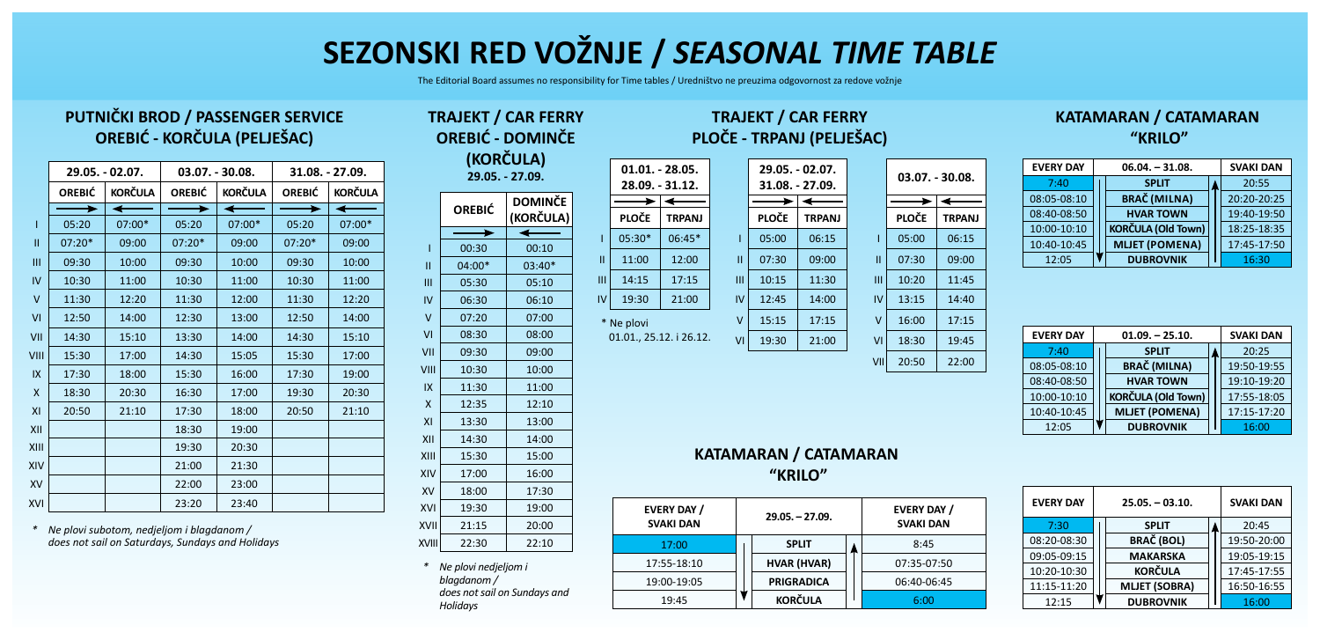# **SEZONSKI RED VOŽNJE /** *SEASONAL TIME TABLE*

The Editorial Board assumes no responsibility for Time tables / Uredništvo ne preuzima odgovornost za redove vožnje

**01.01. - 28.05. 28.09. - 31.12.**

**PLOČE TRPANJ**  $05:30*$  06:45\*  $|| \cdot ||$  11:00 12:00  $|||$  14:15 17:15  $IV$  19:30 21:00

 $\overline{\phantom{0}}$ 

01.01., 25.12. i 26.12.

\* Ne plovi

### **PUTNIČKI BROD / PASSENGER SERVICE OREBIĆ - KORČULA (PELJEŠAC)**

|               |                                 | 29.05. - 02.07. |                                 | $03.07. - 30.08.$ | 31.08. - 27.09. |                |  |
|---------------|---------------------------------|-----------------|---------------------------------|-------------------|-----------------|----------------|--|
|               | <b>KORČULA</b><br><b>OREBIĆ</b> |                 | <b>KORČULA</b><br><b>OREBIĆ</b> |                   | <b>OREBIĆ</b>   | <b>KORČULA</b> |  |
|               |                                 |                 |                                 |                   |                 |                |  |
| ı             | 05:20                           | 07:00*          | 05:20                           | 07:00*            | 05:20           | 07:00*         |  |
| $\mathbf{II}$ | $07:20*$                        | 09:00           | $07:20*$                        | 09:00             | $07:20*$        | 09:00          |  |
| Ш             | 09:30                           | 10:00           | 09:30                           | 10:00             | 09:30           | 10:00          |  |
| IV            | 10:30                           | 11:00           | 10:30                           | 11:00             | 10:30           | 11:00          |  |
| $\vee$        | 11:30                           | 12:20           | 11:30                           | 12:00             | 11:30           | 12:20          |  |
| VI            | 12:50                           | 14:00           | 12:30                           | 13:00             | 12:50           | 14:00          |  |
| VII           | 14:30                           | 15:10           | 13:30                           | 14:00             | 14:30           | 15:10          |  |
| VIII          | 15:30                           | 17:00           | 14:30                           | 15:05             | 15:30           | 17:00          |  |
| IX            | 17:30                           | 18:00           | 15:30                           | 16:00             | 17:30           | 19:00          |  |
| $\mathsf{x}$  | 18:30                           | 20:30           | 16:30                           | 17:00             | 19:30           | 20:30          |  |
| XI            | 20:50                           | 21:10           | 17:30                           | 18:00             | 20:50           | 21:10          |  |
| XII           |                                 |                 | 18:30                           | 19:00             |                 |                |  |
| XIII          |                                 |                 | 19:30                           | 20:30             |                 |                |  |
| XIV           |                                 |                 | 21:00                           | 21:30             |                 |                |  |
| <b>XV</b>     |                                 |                 | 22:00                           | 23:00             |                 |                |  |
| XVI           |                                 |                 | 23:20                           | 23:40             |                 |                |  |

*\* Ne plovi subotom, nedjeljom i blagdanom / does not sail on Saturdays, Sundays and Holidays*

#### **OREBIĆ - DOMINČE (KORČULA) 29.05. - 27.09. OREBIĆ DOMINČE (KORČULA)**  $00:30$  00:10  $|| \cdot ||$  04:00\*  $||$  03:40\*  $III$  05:30  $0.5:10$  $IV$  06:30 06:10  $V$  07:20 07:00  $V1$  08:30 08:00 VII 09:30 09:00  $VIII$  10:30 10:00  $|X|$  11:30 11:00  $X$  12:35 12:10 XI 13:30 13:00 XII 14:30 14:00 XIII 15:30 15:00 XIV 17:00 16:00 XV 18:00 17:30 XVI 19:30 19:00 XVII 21:15 20:00 XVIII 22:30 22:10

**TRAJEKT / CAR FERRY**

*\* Ne plovi nedjeljom i blagdanom / does not sail on Sundays and Holidays*

## **TRAJEKT / CAR FERRY PLOČE - TRPANJ (PELJEŠAC)**

**PLOČE TRPANJ**  $05:00$  $07:30$  $|||| \ 10:15$  $IV$  12:45 15:15  $V1 \ 19:30$ 

|                | 29.05. - 02.07.<br>31.08. - 27.09. |                | $03.07. - 30.08.$ |               |  |  |  |
|----------------|------------------------------------|----------------|-------------------|---------------|--|--|--|
|                |                                    |                |                   |               |  |  |  |
| PLOČE          | <b>TRPANJ</b>                      |                | <b>PLOČE</b>      | <b>TRPANJ</b> |  |  |  |
| 05:00          | 06:15                              |                | 05:00             | 06:15         |  |  |  |
| 07:30          | 09:00                              | П              | 07:30             | 09:00         |  |  |  |
| 10:15          | 11:30                              | Ш              | 10:20             | 11:45         |  |  |  |
| 12:45          | 14:00                              | IV             | 13:15             | 14:40         |  |  |  |
| 15:15          | 17:15                              | $\vee$         | 16:00             | 17:15         |  |  |  |
| 21:00<br>19:30 |                                    | V <sub>l</sub> | 18:30             | 19:45         |  |  |  |
|                |                                    | VII            | 20:50             | 22:00         |  |  |  |

#### **KATAMARAN / CATAMARAN "KRILO"**

| <b>EVERY DAY</b> | $06.04. - 31.08.$         | <b>SVAKI DAN</b> |             |
|------------------|---------------------------|------------------|-------------|
| 7:40             | <b>SPLIT</b>              |                  | 20:55       |
| 08:05-08:10      | <b>BRAČ</b> (MILNA)       |                  | 20:20-20:25 |
| 08:40-08:50      | <b>HVAR TOWN</b>          |                  | 19:40-19:50 |
| 10:00-10:10      | <b>KORČULA (Old Town)</b> |                  | 18:25-18:35 |
| 10:40-10:45      | <b>MLJET (POMENA)</b>     |                  | 17:45-17:50 |
| 12:05            | <b>DUBROVNIK</b>          |                  | 16:30       |

| <b>EVERY DAY</b> | $01.09 - 25.10.$          | <b>SVAKI DAN</b> |
|------------------|---------------------------|------------------|
| 7:40             | <b>SPLIT</b>              | 20:25            |
| 08:05-08:10      | <b>BRAČ (MILNA)</b>       | 19:50-19:55      |
| 08:40-08:50      | <b>HVAR TOWN</b>          | 19:10-19:20      |
| 10:00-10:10      | <b>KORČULA (Old Town)</b> | 17:55-18:05      |
| 10:40-10:45      | <b>MLJET (POMENA)</b>     | 17:15-17:20      |
| 12:05            | <b>DUBROVNIK</b>          | 16:00            |

# **KATAMARAN / CATAMARAN**

| <b>EVERY DAY /</b><br><b>SVAKI DAN</b> |  | $29.05. - 27.09.$  | <b>EVERY DAY /</b><br><b>SVAKI DAN</b> |             |  |
|----------------------------------------|--|--------------------|----------------------------------------|-------------|--|
| 17:00                                  |  | <b>SPLIT</b>       |                                        | 8:45        |  |
| 17:55-18:10                            |  | <b>HVAR (HVAR)</b> |                                        | 07:35-07:50 |  |
| 19:00-19:05                            |  | <b>PRIGRADICA</b>  |                                        | 06:40-06:45 |  |
| 19:45                                  |  | <b>KORČULA</b>     |                                        | 6:00        |  |

| <b>EVERY DAY</b> | $25.05 - 03.10.$     | <b>SVAKI DAN</b> |             |
|------------------|----------------------|------------------|-------------|
| 7:30             | <b>SPLIT</b>         |                  | 20:45       |
| 08:20-08:30      | <b>BRAČ (BOL)</b>    |                  | 19:50-20:00 |
| 09:05-09:15      | <b>MAKARSKA</b>      |                  | 19:05-19:15 |
| 10:20-10:30      | <b>KORČULA</b>       |                  | 17:45-17:55 |
| 11:15-11:20      | <b>MLJET (SOBRA)</b> |                  | 16:50-16:55 |
| 12:15            | <b>DUBROVNIK</b>     |                  | 16:00       |